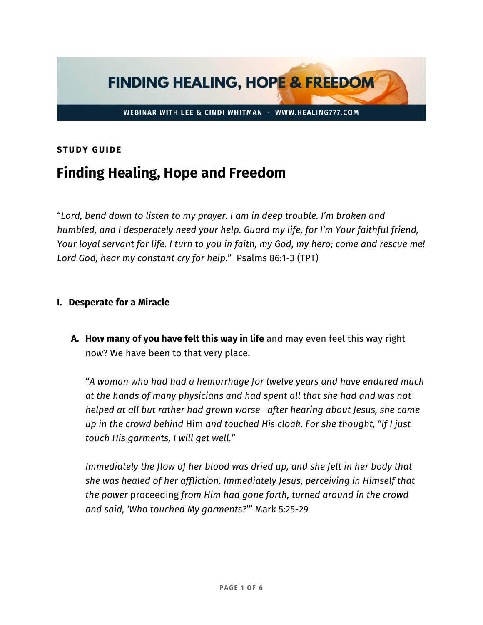

## **STUDY GUIDE**

# **Finding Healing, Hope and Freedom**

"*Lord, bend down to listen to my prayer. I am in deep trouble. I'm broken and humbled, and I desperately need your help. Guard my life, for I'm Your faithful friend, Your loyal servant for life. I turn to you in faith, my God, my hero; come and rescue me! Lord God, hear my constant cry for help*." Psalms 86:1-3 (TPT)

#### **I. Desperate for a Miracle**

**A. How many of you have felt this way in life** and may even feel this way right now? We have been to that very place.

**"***A woman who had had a hemorrhage for twelve years and have endured much at the hands of many physicians and had spent all that she had and was not helped at all but rather had grown worse—after hearing about Jesus, she came up in the crowd behind* Him *and touched His cloak. For she thought, "If I just touch His garments, I will get well."* 

*Immediately the flow of her blood was dried up, and she felt in her body that she was healed of her affliction. Immediately Jesus, perceiving in Himself that the power* proceeding *from Him had gone forth, turned around in the crowd and said, 'Who touched My garments?*'" Mark 5:25-29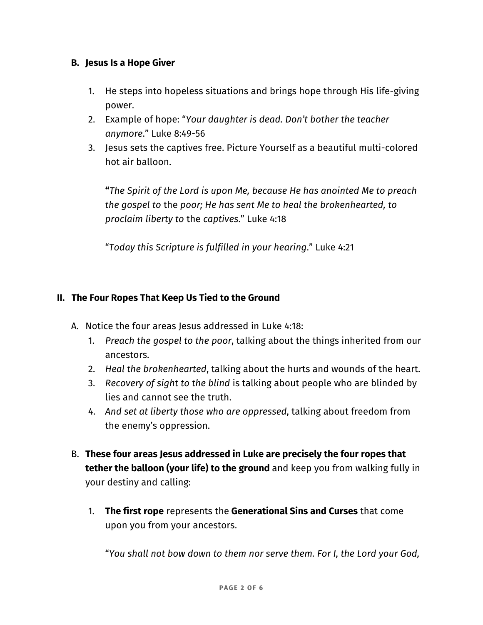## **B. Jesus Is a Hope Giver**

- 1. He steps into hopeless situations and brings hope through His life-giving power.
- 2. Example of hope: "*Your daughter is dead. Don't bother the teacher anymore*." Luke 8:49-56
- 3. Jesus sets the captives free. Picture Yourself as a beautiful multi-colored hot air balloon.

**"***The Spirit of the Lord is upon Me, because He has anointed Me to preach the gospel to* the *poor; He has sent Me to heal the brokenhearted, to proclaim liberty to* the *captives*." Luke 4:18

"*Today this Scripture is fulfilled in your hearing*." Luke 4:21

## **II. The Four Ropes That Keep Us Tied to the Ground**

- A. Notice the four areas Jesus addressed in Luke 4:18:
	- 1. *Preach the gospel to the poor*, talking about the things inherited from our ancestors.
	- 2. *Heal the brokenhearted*, talking about the hurts and wounds of the heart.
	- 3. *Recovery of sight to the blind* is talking about people who are blinded by lies and cannot see the truth.
	- 4. *And set at liberty those who are oppressed*, talking about freedom from the enemy's oppression.
- B. **These four areas Jesus addressed in Luke are precisely the four ropes that tether the balloon (your life) to the ground** and keep you from walking fully in your destiny and calling:
	- 1. **The first rope** represents the **Generational Sins and Curses** that come upon you from your ancestors.

"*You shall not bow down to them nor serve them. For I, the Lord your God,*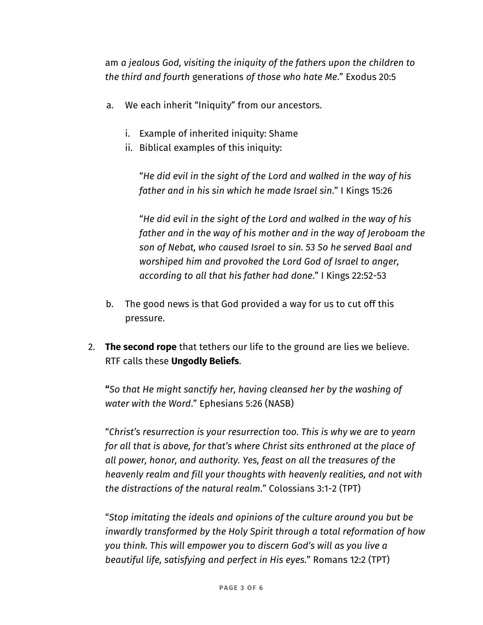am *a jealous God, visiting the iniquity of the fathers upon the children to the third and fourth* generations *of those who hate Me*." Exodus 20:5

- a. We each inherit "Iniquity" from our ancestors.
	- i. Example of inherited iniquity: Shame
	- ii. Biblical examples of this iniquity:

"*He did evil in the sight of the Lord and walked in the way of his father and in his sin which he made Israel sin*." I Kings 15:26

"*He did evil in the sight of the Lord and walked in the way of his father and in the way of his mother and in the way of Jeroboam the son of Nebat, who caused Israel to sin. 53 So he served Baal and worshiped him and provoked the Lord God of Israel to anger, according to all that his father had done*." I Kings 22:52-53

- b. The good news is that God provided a way for us to cut off this pressure.
- 2. **The second rope** that tethers our life to the ground are lies we believe. RTF calls these **Ungodly Beliefs**.

**"***So that He might sanctify her, having cleansed her by the washing of water with the Word*." Ephesians 5:26 (NASB)

"*Christ's resurrection is your resurrection too. This is why we are to yearn for all that is above, for that's where Christ sits enthroned at the place of all power, honor, and authority. Yes, feast on all the treasures of the heavenly realm and fill your thoughts with heavenly realities, and not with the distractions of the natural realm*." Colossians 3:1-2 (TPT)

"*Stop imitating the ideals and opinions of the culture around you but be inwardly transformed by the Holy Spirit through a total reformation of how you think. This will empower you to discern God's will as you live a beautiful life, satisfying and perfect in His eyes*." Romans 12:2 (TPT)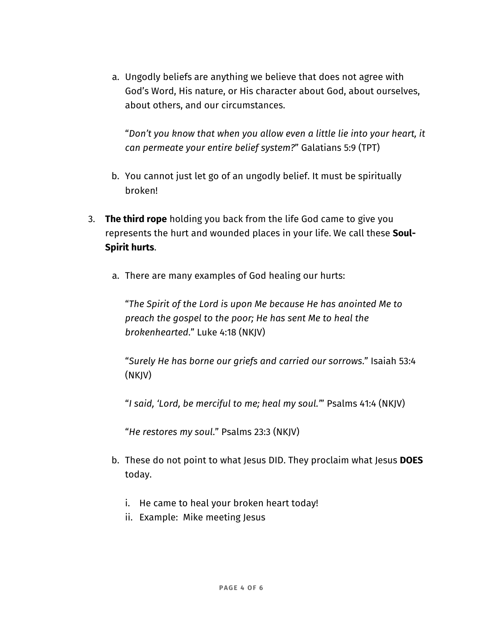a. Ungodly beliefs are anything we believe that does not agree with God's Word, His nature, or His character about God, about ourselves, about others, and our circumstances.

"*Don't you know that when you allow even a little lie into your heart, it can permeate your entire belief system?*" Galatians 5:9 (TPT)

- b. You cannot just let go of an ungodly belief. It must be spiritually broken!
- 3. **The third rope** holding you back from the life God came to give you represents the hurt and wounded places in your life. We call these **Soul-Spirit hurts**.
	- a. There are many examples of God healing our hurts:

"*The Spirit of the Lord is upon Me because He has anointed Me to preach the gospel to the poor; He has sent Me to heal the brokenhearted*." Luke 4:18 (NKJV)

"*Surely He has borne our griefs and carried our sorrows*." Isaiah 53:4 (NKJV)

"*I said, 'Lord, be merciful to me; heal my soul.'*" Psalms 41:4 (NKJV)

"*He restores my soul*." Psalms 23:3 (NKJV)

- b. These do not point to what Jesus DID. They proclaim what Jesus **DOES**  today.
	- i. He came to heal your broken heart today!
	- ii. Example: Mike meeting Jesus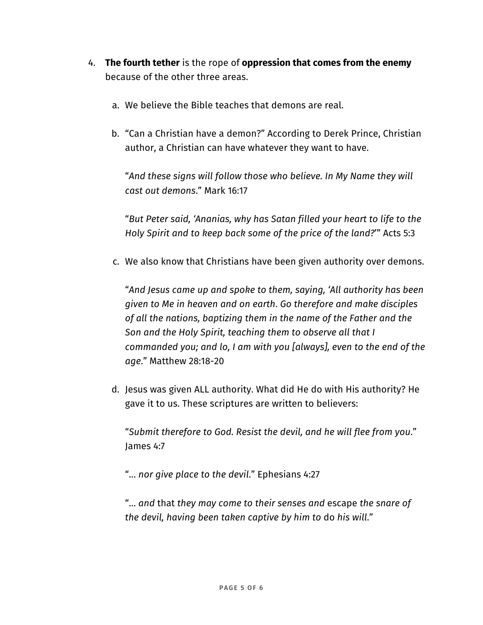- 4. **The fourth tether** is the rope of **oppression that comes from the enemy**  because of the other three areas.
	- a. We believe the Bible teaches that demons are real.
	- b. "Can a Christian have a demon?" According to Derek Prince, Christian author, a Christian can have whatever they want to have.

"*And these signs will follow those who believe. In My Name they will cast out demons*." Mark 16:17

"*But Peter said, 'Ananias, why has Satan filled your heart to life to the Holy Spirit and to keep back some of the price of the land?*'" Acts 5:3

c. We also know that Christians have been given authority over demons.

"*And Jesus came up and spoke to them, saying, 'All authority has been given to Me in heaven and on earth*. *Go therefore and make disciples of all the nations, baptizing them in the name of the Father and the Son and the Holy Spirit, teaching them to observe all that I commanded you; and lo, I am with you [always], even to the end of the age*." Matthew 28:18-20

d. Jesus was given ALL authority. What did He do with His authority? He gave it to us. These scriptures are written to believers:

"*Submit therefore to God. Resist the devil, and he will flee from you*." James 4:7

"… *nor give place to the devil*." Ephesians 4:27

"… *and* that *they may come to their senses and* escape *the snare of the devil, having been taken captive by him to* do *his will*."